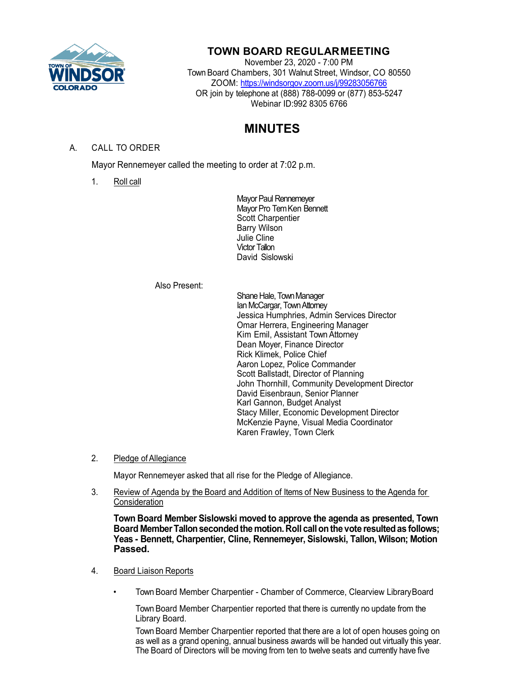

## **TOWN BOARD REGULARMEETING**

November 23, 2020 - 7:00 PM Town Board Chambers, 301 Walnut Street, Windsor, CO 80550 ZOOM:<https://windsorgov.zoom.us/j/99283056766> OR join by telephone at (888) 788-0099 or (877) 853-5247 Webinar ID:992 8305 6766

# **MINUTES**

### A. CALL TO ORDER

Mayor Rennemeyer called the meeting to order at 7:02 p.m.

1. Roll call

Mayor Paul Rennemeyer Mayor Pro Tem Ken Bennett Scott Charpentier Barry Wilson Julie Cline Victor Tallon David Sislowski

#### Also Present:

Shane Hale, Town Manager Ian McCargar, TownAttorney Jessica Humphries, Admin Services Director Omar Herrera, Engineering Manager Kim Emil, Assistant Town Attorney Dean Moyer, Finance Director Rick Klimek, Police Chief Aaron Lopez, Police Commander Scott Ballstadt, Director of Planning John Thornhill, Community Development Director David Eisenbraun, Senior Planner Karl Gannon, Budget Analyst Stacy Miller, Economic Development Director McKenzie Payne, Visual Media Coordinator Karen Frawley, Town Clerk

#### 2. Pledge of Allegiance

Mayor Rennemeyer asked that all rise for the Pledge of Allegiance.

3. Review of Agenda by the Board and Addition of Items of New Business to the Agenda for **Consideration** 

**Town Board Member Sislowski moved to approve the agenda as presented, Town Board MemberTallonsecondedthe motion.Roll callonthe vote resultedas follows; Yeas - Bennett, Charpentier, Cline, Rennemeyer, Sislowski, Tallon, Wilson; Motion Passed.**

- 4. Board Liaison Reports
	- Town Board Member Charpentier Chamber of Commerce, Clearview LibraryBoard

Town Board Member Charpentier reported that there is currently no update from the Library Board.

Town Board Member Charpentier reported that there are a lot of open houses going on as well as a grand opening, annual business awards will be handed out virtually this year. The Board of Directors will be moving from ten to twelve seats and currently have five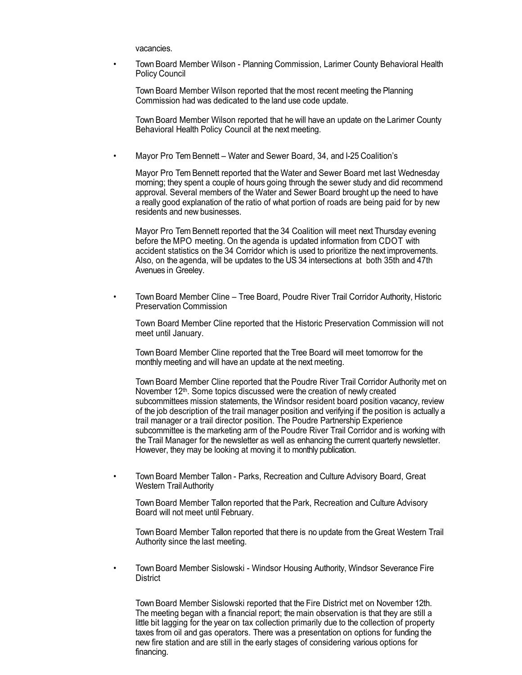vacancies.

• Town Board Member Wilson - Planning Commission, Larimer County Behavioral Health Policy Council

Town Board Member Wilson reported that the most recent meeting the Planning Commission had was dedicated to the land use code update.

Town Board Member Wilson reported that he will have an update on the Larimer County Behavioral Health Policy Council at the next meeting.

• Mayor Pro Tem Bennett – Water and Sewer Board, 34, and I-25 Coalition's

Mayor Pro Tem Bennett reported that the Water and Sewer Board met last Wednesday morning; they spent a couple of hours going through the sewer study and did recommend approval. Several members of the Water and Sewer Board brought up the need to have a really good explanation of the ratio of what portion of roads are being paid for by new residents and new businesses.

Mayor Pro Tem Bennett reported that the 34 Coalition will meet next Thursday evening before the MPO meeting. On the agenda is updated information from CDOT with accident statistics on the 34 Corridor which is used to prioritize the next improvements. Also, on the agenda, will be updates to the US 34 intersections at both 35th and 47th Avenues in Greeley.

• Town Board Member Cline – Tree Board, Poudre River Trail Corridor Authority, Historic Preservation Commission

Town Board Member Cline reported that the Historic Preservation Commission will not meet until January.

Town Board Member Cline reported that the Tree Board will meet tomorrow for the monthly meeting and will have an update at the next meeting.

Town Board Member Cline reported that the Poudre River Trail Corridor Authority met on November 12<sup>th</sup>. Some topics discussed were the creation of newly created subcommittees mission statements, the Windsor resident board position vacancy, review of the job description of the trail manager position and verifying if the position is actually a trail manager or a trail director position. The Poudre Partnership Experience subcommittee is the marketing arm of the Poudre River Trail Corridor and is working with the Trail Manager for the newsletter as well as enhancing the current quarterly newsletter. However, they may be looking at moving it to monthly publication.

• Town Board Member Tallon - Parks, Recreation and Culture Advisory Board, Great Western TrailAuthority

Town Board Member Tallon reported that the Park, Recreation and Culture Advisory Board will not meet until February.

Town Board Member Tallon reported that there is no update from the Great Western Trail Authority since the last meeting.

• Town Board Member Sislowski - Windsor Housing Authority, Windsor Severance Fire **District** 

Town Board Member Sislowski reported that the Fire District met on November 12th. The meeting began with a financial report; the main observation is that they are still a little bit lagging for the year on tax collection primarily due to the collection of property taxes from oil and gas operators. There was a presentation on options for funding the new fire station and are still in the early stages of considering various options for financing.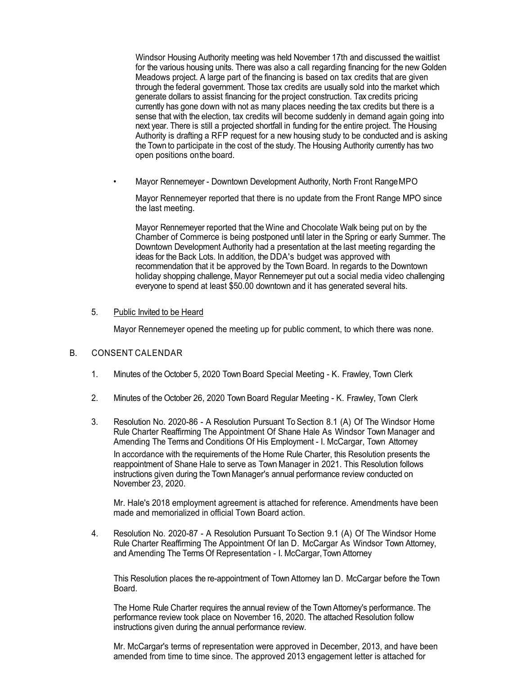Windsor Housing Authority meeting was held November 17th and discussed the waitlist for the various housing units. There was also a call regarding financing for the new Golden Meadows project. A large part of the financing is based on tax credits that are given through the federal government. Those tax credits are usually sold into the market which generate dollars to assist financing for the project construction. Tax credits pricing currently has gone down with not as many places needing the tax credits but there is a sense that with the election, tax credits will become suddenly in demand again going into next year. There is still a projected shortfall in funding for the entire project. The Housing Authority is drafting a RFP request for a new housing study to be conducted and is asking the Town to participate in the cost of the study. The Housing Authority currently has two open positions onthe board.

• Mayor Rennemeyer - Downtown Development Authority, North Front RangeMPO

Mayor Rennemeyer reported that there is no update from the Front Range MPO since the last meeting.

Mayor Rennemeyer reported that the Wine and Chocolate Walk being put on by the Chamber of Commerce is being postponed until later in the Spring or early Summer. The Downtown Development Authority had a presentation at the last meeting regarding the ideas for the Back Lots. In addition, the DDA's budget was approved with recommendation that it be approved by the Town Board. In regards to the Downtown holiday shopping challenge, Mayor Rennemeyer put out a social media video challenging everyone to spend at least \$50.00 downtown and it has generated several hits.

5. Public Invited to be Heard

Mayor Rennemeyer opened the meeting up for public comment, to which there was none.

#### B. CONSENT CALENDAR

- 1. Minutes of the October 5, 2020 Town Board Special Meeting K. Frawley, Town Clerk
- 2. Minutes of the October 26, 2020 Town Board Regular Meeting K. Frawley, Town Clerk
- 3. Resolution No. 2020-86 A Resolution Pursuant To Section 8.1 (A) Of The Windsor Home Rule Charter Reaffirming The Appointment Of Shane Hale As Windsor Town Manager and Amending The Terms and Conditions Of His Employment - I. McCargar, Town Attorney In accordance with the requirements of the Home Rule Charter, this Resolution presents the reappointment of Shane Hale to serve as Town Manager in 2021. This Resolution follows instructions given during the Town Manager's annual performance review conducted on November 23, 2020.

Mr. Hale's 2018 employment agreement is attached for reference. Amendments have been made and memorialized in official Town Board action.

4. Resolution No. 2020-87 - A Resolution Pursuant To Section 9.1 (A) Of The Windsor Home Rule Charter Reaffirming The Appointment Of Ian D. McCargar As Windsor Town Attorney, and Amending The Terms Of Representation - I. McCargar,Town Attorney

This Resolution places the re-appointment of Town Attorney Ian D. McCargar before the Town Board.

The Home Rule Charter requires the annual review of the Town Attorney's performance. The performance review took place on November 16, 2020. The attached Resolution follow instructions given during the annual performance review.

Mr. McCargar's terms of representation were approved in December, 2013, and have been amended from time to time since. The approved 2013 engagement letter is attached for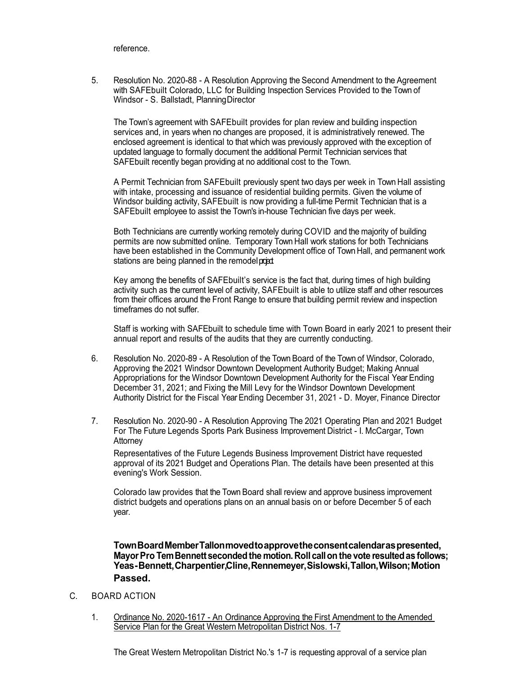reference.

5. Resolution No. 2020-88 - A Resolution Approving the Second Amendment to the Agreement with SAFEbuilt Colorado, LLC for Building Inspection Services Provided to the Town of Windsor - S. Ballstadt, PlanningDirector

The Town's agreement with SAFEbuilt provides for plan review and building inspection services and, in years when no changes are proposed, it is administratively renewed. The enclosed agreement is identical to that which was previously approved with the exception of updated language to formally document the additional Permit Technician services that SAFEbuilt recently began providing at no additional cost to the Town.

A Permit Technician from SAFEbuilt previously spent two days per week in Town Hall assisting with intake, processing and issuance of residential building permits. Given the volume of Windsor building activity, SAFE built is now providing a full-time Permit Technician that is a SAFEbuilt employee to assist the Town's in-house Technician five days per week.

Both Technicians are currently working remotely during COVID and the majority of building permits are now submitted online. Temporary Town Hall work stations for both Technicians have been established in the Community Development office of Town Hall, and permanent work stations are being planned in the remodel print

Key among the benefits of SAFEbuilt's service is the fact that, during times of high building activity such as the current level of activity, SAFEbuilt is able to utilize staff and other resources from their offices around the Front Range to ensure that building permit review and inspection timeframes do not suffer.

Staff is working with SAFEbuilt to schedule time with Town Board in early 2021 to present their annual report and results of the audits that they are currently conducting.

- 6. Resolution No. 2020-89 A Resolution of the Town Board of the Town of Windsor, Colorado, Approving the 2021 Windsor Downtown Development Authority Budget; Making Annual Appropriations for the Windsor Downtown Development Authority for the Fiscal Year Ending December 31, 2021; and Fixing the Mill Levy for the Windsor Downtown Development Authority District for the Fiscal Year Ending December 31, 2021 - D. Moyer, Finance Director
- 7. Resolution No. 2020-90 A Resolution Approving The 2021 Operating Plan and 2021 Budget For The Future Legends Sports Park Business Improvement District - I. McCargar, Town Attorney

Representatives of the Future Legends Business Improvement District have requested approval of its 2021 Budget and Operations Plan. The details have been presented at this evening's Work Session.

Colorado law provides that the Town Board shall review and approve business improvement district budgets and operations plans on an annual basis on or before December 5 of each year.

**TownBoardMemberTallonmovedtoapprovetheconsentcalendaraspresented, MayorPro TemBennett secondedthe motion.Roll callon the vote resultedas follows; Yeas-Bennett,Charpentier,Cline,Rennemeyer,Sislowski,Tallon,Wilson;Motion Passed.**

#### C. BOARD ACTION

1. Ordinance No. 2020-1617 - An Ordinance Approving the First Amendment to the Amended Service Plan for the Great Western Metropolitan District Nos. 1-7

The Great Western Metropolitan District No.'s 1-7 is requesting approval of a service plan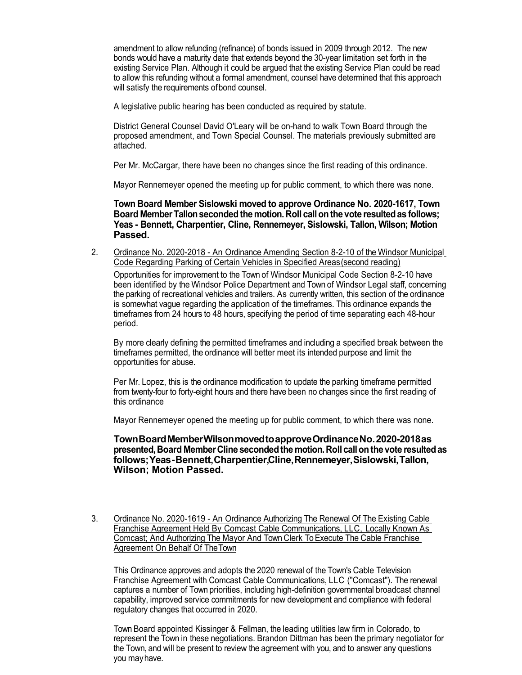amendment to allow refunding (refinance) of bonds issued in 2009 through 2012. The new bonds would have a maturity date that extends beyond the 30-year limitation set forth in the existing Service Plan. Although it could be argued that the existing Service Plan could be read to allow this refunding without a formal amendment, counsel have determined that this approach will satisfy the requirements ofbond counsel.

A legislative public hearing has been conducted as required by statute.

District General Counsel David O'Leary will be on-hand to walk Town Board through the proposed amendment, and Town Special Counsel. The materials previously submitted are attached.

Per Mr. McCargar, there have been no changes since the first reading of this ordinance.

Mayor Rennemeyer opened the meeting up for public comment, to which there was none.

**Town Board Member Sislowski moved to approve Ordinance No. 2020-1617, Town Board MemberTallonsecondedthe motion.Roll callonthe vote resultedas follows; Yeas - Bennett, Charpentier, Cline, Rennemeyer, Sislowski, Tallon, Wilson; Motion Passed.**

2. Ordinance No. 2020-2018 - An Ordinance Amending Section 8-2-10 of the Windsor Municipal Code Regarding Parking of Certain Vehicles in Specified Areas(second reading)

Opportunities for improvement to the Town of Windsor Municipal Code Section 8-2-10 have been identified by the Windsor Police Department and Town of Windsor Legal staff, concerning the parking of recreational vehicles and trailers. As currently written, this section of the ordinance is somewhat vague regarding the application of the timeframes. This ordinance expands the timeframes from 24 hours to 48 hours, specifying the period of time separating each 48-hour period.

By more clearly defining the permitted timeframes and including a specified break between the timeframes permitted, the ordinance will better meet its intended purpose and limit the opportunities for abuse.

Per Mr. Lopez, this is the ordinance modification to update the parking timeframe permitted from twenty-four to forty-eight hours and there have been no changes since the first reading of this ordinance

Mayor Rennemeyer opened the meeting up for public comment, to which there was none.

**TownBoardMemberWilsonmovedtoapproveOrdinanceNo.2020-2018as presented,Board MemberCline secondedthe motion.Roll callonthe vote resultedas follows;Yeas-Bennett,Charpentier,Cline,Rennemeyer,Sislowski,Tallon, Wilson; Motion Passed.**

3. Ordinance No. 2020-1619 - An Ordinance Authorizing The Renewal Of The Existing Cable Franchise Agreement Held By Comcast Cable Communications, LLC, Locally Known As Comcast; And Authorizing The Mayor And Town Clerk To Execute The Cable Franchise Agreement On Behalf Of TheTown

This Ordinance approves and adopts the 2020 renewal of the Town's Cable Television Franchise Agreement with Comcast Cable Communications, LLC ("Comcast"). The renewal captures a number of Town priorities, including high-definition governmental broadcast channel capability, improved service commitments for new development and compliance with federal regulatory changes that occurred in 2020.

Town Board appointed Kissinger & Fellman, the leading utilities law firm in Colorado, to represent the Town in these negotiations. Brandon Dittman has been the primary negotiator for the Town, and will be present to review the agreement with you, and to answer any questions you mayhave.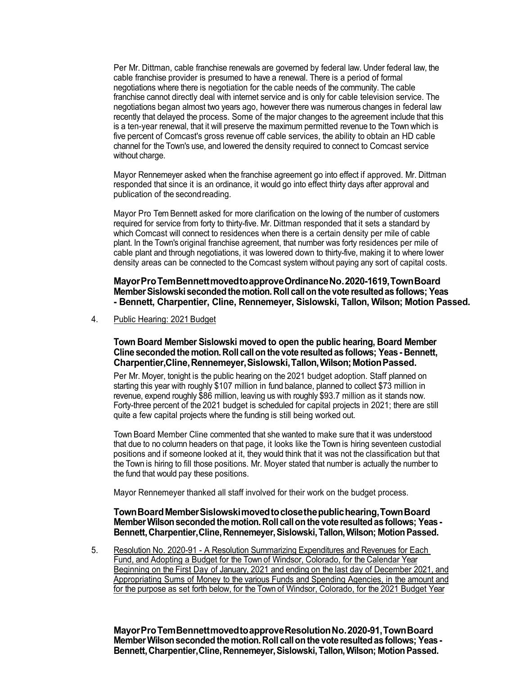Per Mr. Dittman, cable franchise renewals are governed by federal law. Under federal law, the cable franchise provider is presumed to have a renewal. There is a period of formal negotiations where there is negotiation for the cable needs of the community. The cable franchise cannot directly deal with internet service and is only for cable television service. The negotiations began almost two years ago, however there was numerous changes in federal law recently that delayed the process. Some of the major changes to the agreement include that this is a ten-year renewal, that it will preserve the maximum permitted revenue to the Town which is five percent of Comcast's gross revenue off cable services, the ability to obtain an HD cable channel for the Town's use, and lowered the density required to connect to Comcast service without charge.

Mayor Rennemeyer asked when the franchise agreement go into effect if approved. Mr. Dittman responded that since it is an ordinance, it would go into effect thirty days after approval and publication of the secondreading.

Mayor Pro Tem Bennett asked for more clarification on the lowing of the number of customers required for service from forty to thirty-five. Mr. Dittman responded that it sets a standard by which Comcast will connect to residences when there is a certain density per mile of cable plant. In the Town's original franchise agreement, that number was forty residences per mile of cable plant and through negotiations, it was lowered down to thirty-five, making it to where lower density areas can be connected to the Comcast system without paying any sort of capital costs.

**MayorProTemBennettmovedtoapproveOrdinanceNo.2020-1619,TownBoard MemberSislowskisecondedthemotion.Roll callonthe vote resultedas follows; Yeas - Bennett, Charpentier, Cline, Rennemeyer, Sislowski, Tallon, Wilson; Motion Passed.**

4. Public Hearing: 2021 Budget

**Town Board Member Sislowski moved to open the public hearing, Board Member Cline secondedthemotion.Roll callon the vote resultedas follows; Yeas- Bennett, Charpentier,Cline,Rennemeyer,Sislowski,Tallon,Wilson;MotionPassed.**

Per Mr. Moyer, tonight is the public hearing on the 2021 budget adoption. Staff planned on starting this year with roughly \$107 million in fund balance, planned to collect \$73 million in revenue, expend roughly \$86 million, leaving us with roughly \$93.7 million as it stands now. Forty-three percent of the 2021 budget is scheduled for capital projects in 2021; there are still quite a few capital projects where the funding is still being worked out.

Town Board Member Cline commented that she wanted to make sure that it was understood that due to no column headers on that page, it looks like the Town is hiring seventeen custodial positions and if someone looked at it, they would think that it was not the classification but that the Town is hiring to fill those positions. Mr. Moyer stated that number is actually the number to the fund that would pay these positions.

Mayor Rennemeyer thanked all staff involved for their work on the budget process.

#### **TownBoardMemberSislowskimovedtoclosethepublichearing,TownBoard MemberWilsonseconded themotion. Roll callonthe vote resultedas follows; Yeas-Bennett,Charpentier,Cline,Rennemeyer,Sislowski,Tallon,Wilson; MotionPassed.**

5. Resolution No. 2020-91 - A Resolution Summarizing Expenditures and Revenues for Each Fund, and Adopting a Budget for the Town of Windsor, Colorado, for the Calendar Year Beginning on the First Day of January, 2021 and ending on the last day of December 2021, and Appropriating Sums of Money to the various Funds and Spending Agencies, in the amount and for the purpose as set forth below, for the Town of Windsor, Colorado, for the 2021 Budget Year

**MayorProTemBennettmovedtoapproveResolutionNo.2020-91,TownBoard MemberWilsonseconded themotion. Roll callonthe vote resultedas follows; Yeas-Bennett,Charpentier,Cline,Rennemeyer,Sislowski,Tallon,Wilson; MotionPassed.**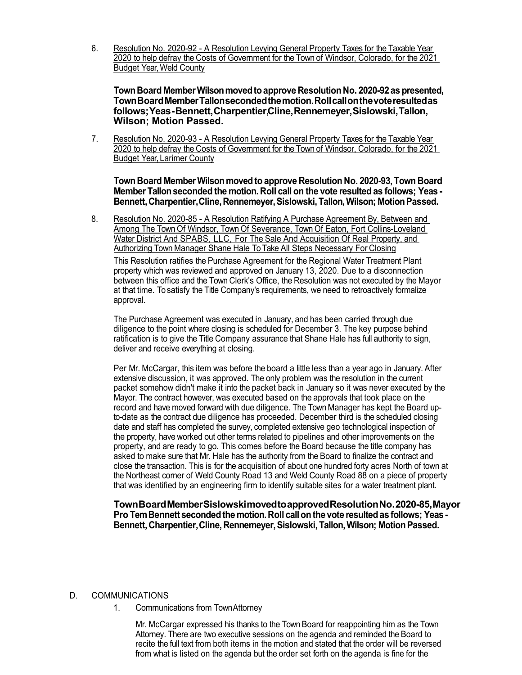6. Resolution No. 2020-92 - A Resolution Levying General Property Taxes for the Taxable Year 2020 to help defray the Costs of Government for the Town of Windsor, Colorado, for the 2021 Budget Year, Weld County

**TownBoard MemberWilsonmovedtoapprove Resolution No. 2020-92as presented, TownBoardMemberTallonsecondedthemotion.Rollcallonthevoteresultedas follows;Yeas-Bennett,Charpentier,Cline,Rennemeyer,Sislowski,Tallon, Wilson; Motion Passed.**

7. Resolution No. 2020-93 - A Resolution Levying General Property Taxes for the Taxable Year 2020 to help defray the Costs of Government for the Town of Windsor, Colorado, for the 2021 Budget Year, Larimer County

**Town Board MemberWilson movedto approve Resolution No. 2020-93,Town Board Member Tallonseconded the motion. Roll call on the vote resulted as follows; Yeas - Bennett,Charpentier,Cline,Rennemeyer,Sislowski,Tallon,Wilson; MotionPassed.**

8. Resolution No. 2020-85 - A Resolution Ratifying A Purchase Agreement By, Between and Among The Town Of Windsor, Town Of Severance, Town Of Eaton, Fort Collins-Loveland Water District And SPABS, LLC, For The Sale And Acquisition Of Real Property, and Authorizing Town Manager Shane Hale To Take All Steps Necessary For Closing

This Resolution ratifies the Purchase Agreement for the Regional Water Treatment Plant property which was reviewed and approved on January 13, 2020. Due to a disconnection between this office and the Town Clerk's Office, the Resolution was not executed by the Mayor at that time. To satisfy the Title Company's requirements, we need to retroactively formalize approval.

The Purchase Agreement was executed in January, and has been carried through due diligence to the point where closing is scheduled for December 3. The key purpose behind ratification is to give the Title Company assurance that Shane Hale has full authority to sign, deliver and receive everything at closing.

Per Mr. McCargar, this item was before the board a little less than a year ago in January. After extensive discussion, it was approved. The only problem was the resolution in the current packet somehow didn't make it into the packet back in January so it was never executed by the Mayor. The contract however, was executed based on the approvals that took place on the record and have moved forward with due diligence. The Town Manager has kept the Board upto-date as the contract due diligence has proceeded. December third is the scheduled closing date and staff has completed the survey, completed extensive geo technological inspection of the property, have worked out other terms related to pipelines and other improvements on the property, and are ready to go. This comes before the Board because the title company has asked to make sure that Mr. Hale has the authority from the Board to finalize the contract and close the transaction. This is for the acquisition of about one hundred forty acres North of town at the Northeast corner of Weld County Road 13 and Weld County Road 88 on a piece of property that was identified by an engineering firm to identify suitable sites for a water treatment plant.

**TownBoardMemberSislowskimovedtoapprovedResolutionNo.2020-85,Mayor Pro TemBennett secondedthe motion.Roll callonthe vote resultedas follows; Yeas-Bennett, Charpentier,Cline, Rennemeyer,Sislowski,Tallon,Wilson; MotionPassed.**

- D. COMMUNICATIONS
	- 1. Communications from TownAttorney

Mr. McCargar expressed his thanks to the Town Board for reappointing him as the Town Attorney. There are two executive sessions on the agenda and reminded the Board to recite the full text from both items in the motion and stated that the order will be reversed from what is listed on the agenda but the order set forth on the agenda is fine for the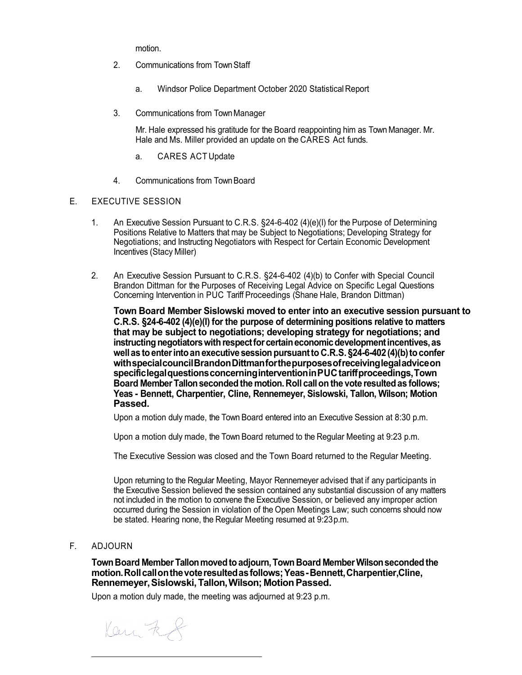motion.

- 2. Communications from TownStaff
	- a. Windsor Police Department October 2020 Statistical Report
- 3. Communications from TownManager

Mr. Hale expressed his gratitude for the Board reappointing him as Town Manager. Mr. Hale and Ms. Miller provided an update on the CARES Act funds.

- a. CARES ACTUpdate
- 4. Communications from TownBoard

### E. EXECUTIVE SESSION

- 1. An Executive Session Pursuant to C.R.S. §24-6-402 (4)(e)(I) for the Purpose of Determining Positions Relative to Matters that may be Subject to Negotiations; Developing Strategy for Negotiations; and Instructing Negotiators with Respect for Certain Economic Development Incentives (StacyMiller)
- 2. An Executive Session Pursuant to C.R.S. §24-6-402 (4)(b) to Confer with Special Council Brandon Dittman for the Purposes of Receiving Legal Advice on Specific Legal Questions Concerning Intervention in PUC Tariff Proceedings (Shane Hale, Brandon Dittman)

**Town Board Member Sislowski moved to enter into an executive session pursuant to C.R.S. §24-6-402 (4)(e)(I) for the purpose of determining positions relative to matters that may be subject to negotiations; developing strategy for negotiations; and instructing negotiators with respect for certain economic development incentives, as wellas toenterintoanexecutive sessionpursuantto C.R.S. §24-6-402(4)(b)toconfer withspecialcouncilBrandonDittmanforthepurposesofreceivinglegaladviceon specificlegalquestionsconcerninginterventioninPUCtariffproceedings,Town Board Member Tallonsecondedthe motion. Roll callon the vote resultedas follows; Yeas - Bennett, Charpentier, Cline, Rennemeyer, Sislowski, Tallon, Wilson; Motion Passed.**

Upon a motion duly made, the Town Board entered into an Executive Session at 8:30 p.m.

Upon a motion duly made, the Town Board returned to the Regular Meeting at 9:23 p.m.

The Executive Session was closed and the Town Board returned to the Regular Meeting.

Upon returning to the Regular Meeting, Mayor Rennemeyer advised that if any participants in the Executive Session believed the session contained any substantial discussion of any matters not included in the motion to convene the Executive Session, or believed any improper action occurred during the Session in violation of the Open Meetings Law; such concerns should now be stated. Hearing none, the Regular Meeting resumed at 9:23p.m.

F. ADJOURN

**TownBoard MemberTallonmovedtoadjourn,Town Board MemberWilsonsecondedthe motion.Rollcallonthevoteresultedasfollows;Yeas-Bennett,Charpentier,Cline, Rennemeyer,Sislowski,Tallon,Wilson; MotionPassed.**

Upon a motion duly made, the meeting was adjourned at 9:23 p.m.

Kan Ff